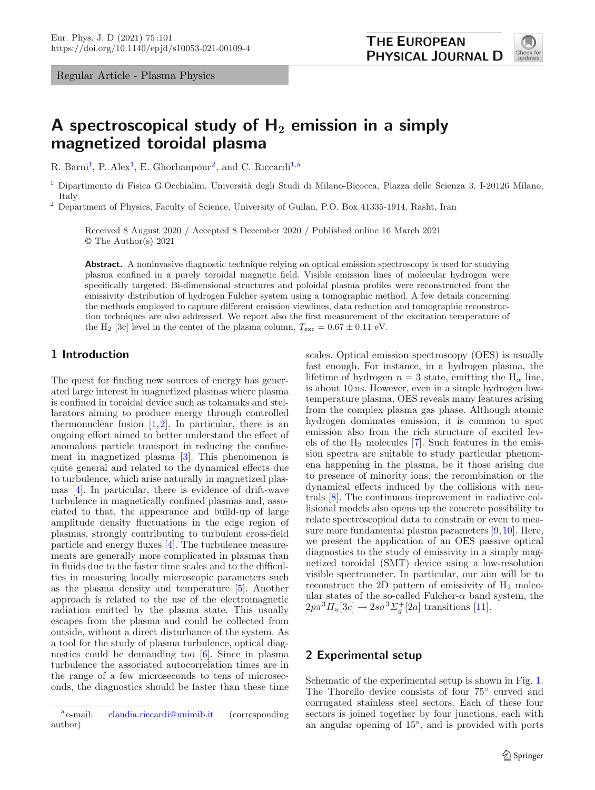Regular Article - Plasma Physics



# **A spectroscopical study of H<sup>2</sup> emission in a simply magnetized toroidal plasma**

R. Barni<sup>[1](#page-0-0)</sup>, P. Alex<sup>1</sup>, E. Ghorbanpour<sup>[2](#page-0-0)</sup>, and C. Riccardi<sup>[1,](#page-0-0)a</sup>

<span id="page-0-0"></span><sup>1</sup> Dipartimento di Fisica G.Occhialini, Università degli Studi di Milano-Bicocca, Piazza delle Scienza 3, I-20126 Milano, Italy

<sup>2</sup> Department of Physics, Faculty of Science, University of Guilan, P.O. Box 41335-1914, Rasht, Iran

Received 8 August 2020 / Accepted 8 December 2020 / Published online 16 March 2021 © The Author(s) 2021

**Abstract.** A noninvasive diagnostic technique relying on optical emission spectroscopy is used for studying plasma confined in a purely toroidal magnetic field. Visible emission lines of molecular hydrogen were specifically targeted. Bi-dimensional structures and poloidal plasma profiles were reconstructed from the emissivity distribution of hydrogen Fulcher system using a tomographic method. A few details concerning the methods employed to capture different emission viewlines, data reduction and tomographic reconstruction techniques are also addressed. We report also the first measurement of the excitation temperature of the H<sub>2</sub> [3c] level in the center of the plasma column,  $T_{\text{exc}} = 0.67 \pm 0.11$  eV.

## **1 Introduction**

The quest for finding new sources of energy has generated large interest in magnetized plasmas where plasma is confined in toroidal device such as tokamaks and stellarators aiming to produce energy through controlled thermonuclear fusion  $[1,2]$  $[1,2]$  $[1,2]$ . In particular, there is an ongoing effort aimed to better understand the effect of anomalous particle transport in reducing the confinement in magnetized plasma [\[3](#page-5-2)]. This phenomenon is quite general and related to the dynamical effects due to turbulence, which arise naturally in magnetized plasmas [\[4](#page-5-3)]. In particular, there is evidence of drift-wave turbulence in magnetically confined plasmas and, associated to that, the appearance and build-up of large amplitude density fluctuations in the edge region of plasmas, strongly contributing to turbulent cross-field particle and energy fluxes [\[4\]](#page-5-3). The turbulence measurements are generally more complicated in plasmas than in fluids due to the faster time scales and to the difficulties in measuring locally microscopic parameters such as the plasma density and temperature [\[5\]](#page-5-4). Another approach is related to the use of the electromagnetic radiation emitted by the plasma state. This usually escapes from the plasma and could be collected from outside, without a direct disturbance of the system. As a tool for the study of plasma turbulence, optical diagnostics could be demanding too [\[6\]](#page-5-5). Since in plasma turbulence the associated autocorrelation times are in the range of a few microseconds to tens of microseconds, the diagnostics should be faster than these time scales. Optical emission spectroscopy (OES) is usually fast enough. For instance, in a hydrogen plasma, the lifetime of hydrogen  $n = 3$  state, emitting the H<sub> $\alpha$ </sub> line, is about 10 ns. However, even in a simple hydrogen lowtemperature plasma, OES reveals many features arising from the complex plasma gas phase. Although atomic hydrogen dominates emission, it is common to spot emission also from the rich structure of excited levels of the  $H_2$  molecules [\[7\]](#page-5-6). Such features in the emission spectra are suitable to study particular phenomena happening in the plasma, be it those arising due to presence of minority ions, the recombination or the dynamical effects induced by the collisions with neutrals [\[8\]](#page-5-7). The continuous improvement in radiative collisional models also opens up the concrete possibility to relate spectroscopical data to constrain or even to measure more fundamental plasma parameters [\[9](#page-5-8)[,10](#page-5-9)]. Here, we present the application of an OES passive optical diagnostics to the study of emissivity in a simply magnetized toroidal (SMT) device using a low-resolution visible spectrometer. In particular, our aim will be to reconstruct the 2D pattern of emissivity of  $H_2$  molecular states of the so-called Fulcher- $\alpha$  band system, the  $2p\pi^3\Pi_u[3c] \rightarrow 2s\sigma^3\Sigma_g^+[2a]$  transitions [\[11\]](#page-5-10).

### **2 Experimental setup**

Schematic of the experimental setup is shown in Fig. [1.](#page-1-0) The Thorello device consists of four 75◦ curved and corrugated stainless steel sectors. Each of these four sectors is joined together by four junctions, each with an angular opening of 15◦, and is provided with ports

<sup>&</sup>lt;sup>a</sup> e-mail: [claudia.riccardi@unimib.it](mailto:claudia.riccardi@unimib.it) (corresponding author)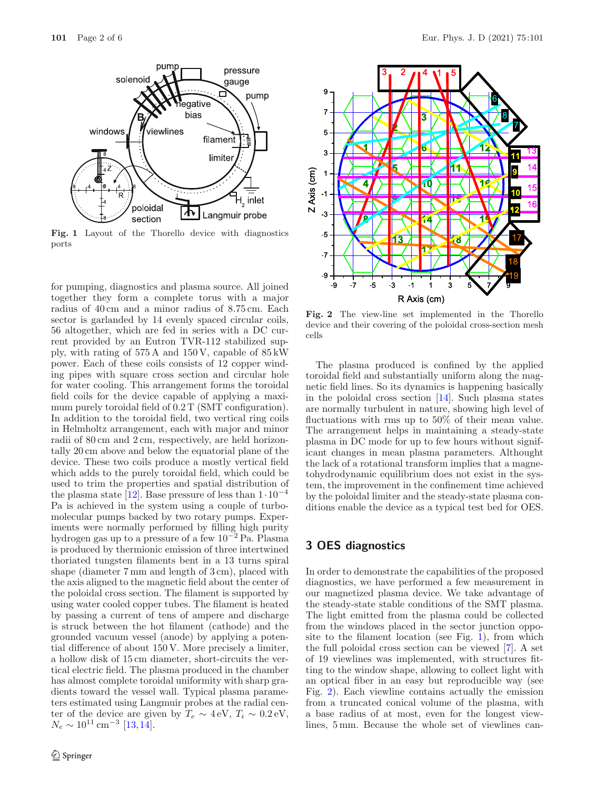

<span id="page-1-0"></span>**Fig. 1** Layout of the Thorello device with diagnostics ports

for pumping, diagnostics and plasma source. All joined together they form a complete torus with a major radius of 40 cm and a minor radius of 8.75 cm. Each sector is garlanded by 14 evenly spaced circular coils, 56 altogether, which are fed in series with a DC current provided by an Eutron TVR-112 stabilized supply, with rating of 575 A and 150 V, capable of 85 kW power. Each of these coils consists of 12 copper winding pipes with square cross section and circular hole for water cooling. This arrangement forms the toroidal field coils for the device capable of applying a maximum purely toroidal field of  $0.2$  T (SMT configuration). In addition to the toroidal field, two vertical ring coils in Helmholtz arrangement, each with major and minor radii of 80 cm and 2 cm, respectively, are held horizontally 20 cm above and below the equatorial plane of the device. These two coils produce a mostly vertical field which adds to the purely toroidal field, which could be used to trim the properties and spatial distribution of the plasma state [\[12](#page-5-11)]. Base pressure of less than  $1 \cdot 10^{-4}$ Pa is achieved in the system using a couple of turbomolecular pumps backed by two rotary pumps. Experiments were normally performed by filling high purity hydrogen gas up to a pressure of a few 10−<sup>2</sup> Pa. Plasma is produced by thermionic emission of three intertwined thoriated tungsten filaments bent in a 13 turns spiral shape (diameter 7 mm and length of 3 cm), placed with the axis aligned to the magnetic field about the center of the poloidal cross section. The filament is supported by using water cooled copper tubes. The filament is heated by passing a current of tens of ampere and discharge is struck between the hot filament (cathode) and the grounded vacuum vessel (anode) by applying a potential difference of about 150 V. More precisely a limiter, a hollow disk of 15 cm diameter, short-circuits the vertical electric field. The plasma produced in the chamber has almost complete toroidal uniformity with sharp gradients toward the vessel wall. Typical plasma parameters estimated using Langmuir probes at the radial center of the device are given by  $T_e \sim 4 \text{ eV}, T_i \sim 0.2 \text{ eV},$ <br>N  $\approx 10^{11} \text{ cm}^{-3}$  [13.14]  $N_e \sim 10^{11} \,\mathrm{cm}^{-3}$  [\[13](#page-5-12),[14\]](#page-5-13).



<span id="page-1-1"></span>**Fig. 2** The view-line set implemented in the Thorello device and their covering of the poloidal cross-section mesh cells

The plasma produced is confined by the applied toroidal field and substantially uniform along the magnetic field lines. So its dynamics is happening basically in the poloidal cross section [\[14](#page-5-13)]. Such plasma states are normally turbulent in nature, showing high level of fluctuations with rms up to 50% of their mean value. The arrangement helps in maintaining a steady-state plasma in DC mode for up to few hours without significant changes in mean plasma parameters. Althought the lack of a rotational transform implies that a magnetohydrodynamic equilibrium does not exist in the system, the improvement in the confinement time achieved by the poloidal limiter and the steady-state plasma conditions enable the device as a typical test bed for OES.

## **3 OES diagnostics**

In order to demonstrate the capabilities of the proposed diagnostics, we have performed a few measurement in our magnetized plasma device. We take advantage of the steady-state stable conditions of the SMT plasma. The light emitted from the plasma could be collected from the windows placed in the sector junction opposite to the filament location (see Fig. [1\)](#page-1-0), from which the full poloidal cross section can be viewed [\[7\]](#page-5-6). A set of 19 viewlines was implemented, with structures fitting to the window shape, allowing to collect light with an optical fiber in an easy but reproducible way (see Fig. [2\)](#page-1-1). Each viewline contains actually the emission from a truncated conical volume of the plasma, with a base radius of at most, even for the longest viewlines, 5 mm. Because the whole set of viewlines can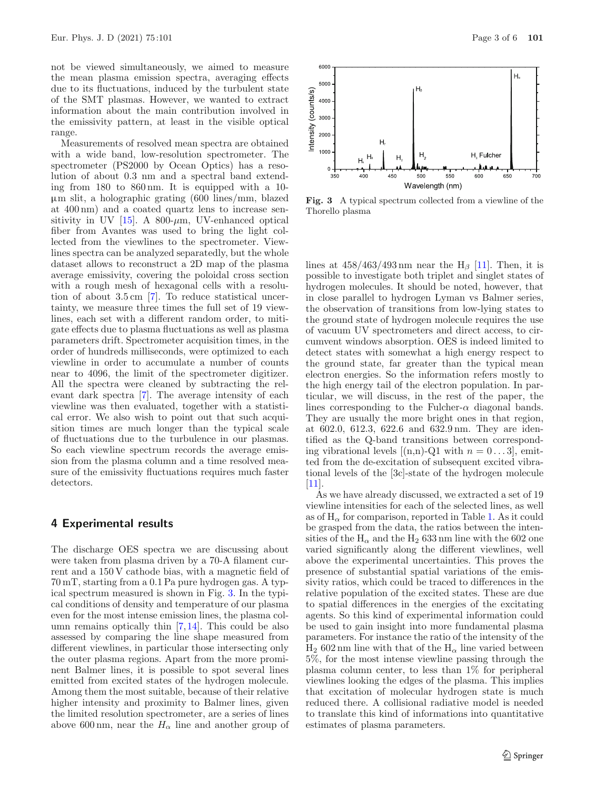not be viewed simultaneously, we aimed to measure the mean plasma emission spectra, averaging effects due to its fluctuations, induced by the turbulent state of the SMT plasmas. However, we wanted to extract information about the main contribution involved in the emissivity pattern, at least in the visible optical range.

Measurements of resolved mean spectra are obtained with a wide band, low-resolution spectrometer. The spectrometer (PS2000 by Ocean Optics) has a resolution of about 0.3 nm and a spectral band extending from 180 to 860 nm. It is equipped with a 10 µm slit, a holographic grating (600 lines/mm, blazed at 400 nm) and a coated quartz lens to increase sensitivity in UV  $[15]$  $[15]$ . A 800- $\mu$ m, UV-enhanced optical fiber from Avantes was used to bring the light collected from the viewlines to the spectrometer. Viewlines spectra can be analyzed separatedly, but the whole dataset allows to reconstruct a 2D map of the plasma average emissivity, covering the poloidal cross section with a rough mesh of hexagonal cells with a resolution of about 3.5 cm [\[7](#page-5-6)]. To reduce statistical uncertainty, we measure three times the full set of 19 viewlines, each set with a different random order, to mitigate effects due to plasma fluctuations as well as plasma parameters drift. Spectrometer acquisition times, in the order of hundreds milliseconds, were optimized to each viewline in order to accumulate a number of counts near to 4096, the limit of the spectrometer digitizer. All the spectra were cleaned by subtracting the relevant dark spectra [\[7\]](#page-5-6). The average intensity of each viewline was then evaluated, together with a statistical error. We also wish to point out that such acquisition times are much longer than the typical scale of fluctuations due to the turbulence in our plasmas. So each viewline spectrum records the average emission from the plasma column and a time resolved measure of the emissivity fluctuations requires much faster detectors.

### **4 Experimental results**

The discharge OES spectra we are discussing about were taken from plasma driven by a 70-A filament current and a 150 V cathode bias, with a magnetic field of 70 mT, starting from a 0.1 Pa pure hydrogen gas. A typical spectrum measured is shown in Fig. [3.](#page-2-0) In the typical conditions of density and temperature of our plasma even for the most intense emission lines, the plasma column remains optically thin [\[7](#page-5-6)[,14](#page-5-13)]. This could be also assessed by comparing the line shape measured from different viewlines, in particular those intersecting only the outer plasma regions. Apart from the more prominent Balmer lines, it is possible to spot several lines emitted from excited states of the hydrogen molecule. Among them the most suitable, because of their relative higher intensity and proximity to Balmer lines, given the limited resolution spectrometer, are a series of lines above 600 nm, near the  $H_{\alpha}$  line and another group of



<span id="page-2-0"></span>**Fig. 3** A typical spectrum collected from a viewline of the Thorello plasma

lines at  $458/463/493$  nm near the H<sub>β</sub> [\[11\]](#page-5-10). Then, it is possible to investigate both triplet and singlet states of hydrogen molecules. It should be noted, however, that in close parallel to hydrogen Lyman vs Balmer series, the observation of transitions from low-lying states to the ground state of hydrogen molecule requires the use of vacuum UV spectrometers and direct access, to circumvent windows absorption. OES is indeed limited to detect states with somewhat a high energy respect to the ground state, far greater than the typical mean electron energies. So the information refers mostly to the high energy tail of the electron population. In particular, we will discuss, in the rest of the paper, the lines corresponding to the Fulcher- $\alpha$  diagonal bands. They are usually the more bright ones in that region, at 602.0, 612.3, 622.6 and 632.9 nm. They are identified as the Q-band transitions between corresponding vibrational levels  $[(n,n)-Q1]$  with  $n = 0...3$ , emitted from the de-excitation of subsequent excited vibrational levels of the [3c]-state of the hydrogen molecule  $[11]$ .

As we have already discussed, we extracted a set of 19 viewline intensities for each of the selected lines, as well as of  $H_{\alpha}$  for comparison, reported in Table [1.](#page-3-0) As it could be grasped from the data, the ratios between the intensities of the  $H_{\alpha}$  and the  $H_2$  633 nm line with the 602 one varied significantly along the different viewlines, well above the experimental uncertainties. This proves the presence of substantial spatial variations of the emissivity ratios, which could be traced to differences in the relative population of the excited states. These are due to spatial differences in the energies of the excitating agents. So this kind of experimental information could be used to gain insight into more fundamental plasma parameters. For instance the ratio of the intensity of the  $H_2$  602 nm line with that of the  $H_\alpha$  line varied between 5%, for the most intense viewline passing through the plasma column center, to less than 1% for peripheral viewlines looking the edges of the plasma. This implies that excitation of molecular hydrogen state is much reduced there. A collisional radiative model is needed to translate this kind of informations into quantitative estimates of plasma parameters.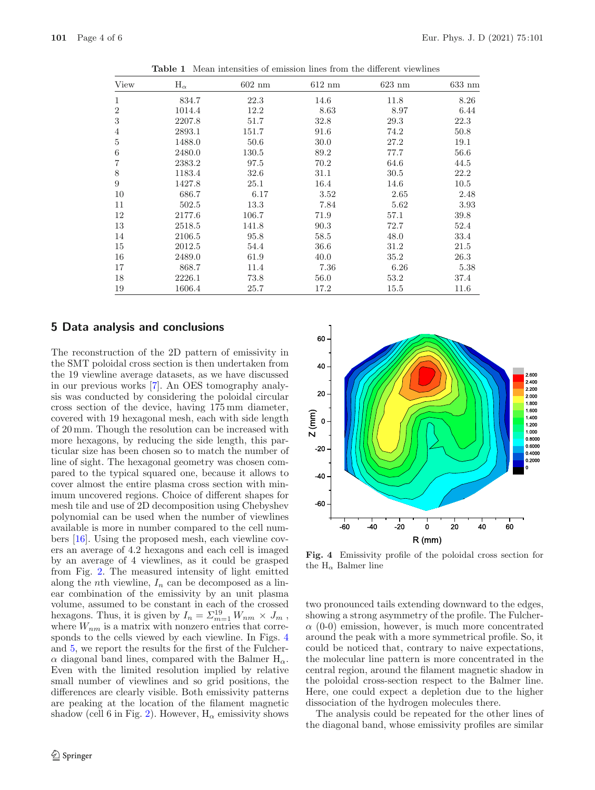| View             | $H_{\alpha}$ | $602 \text{ nm}$ | $612 \text{ nm}$ | $623 \text{ nm}$ | $633 \text{ nm}$ |
|------------------|--------------|------------------|------------------|------------------|------------------|
| 1                | 834.7        | 22.3             | 14.6             | 11.8             | 8.26             |
| $\boldsymbol{2}$ | 1014.4       | 12.2             | 8.63             | 8.97             | 6.44             |
| $\,3$            | 2207.8       | 51.7             | 32.8             | 29.3             | 22.3             |
| $\overline{4}$   | 2893.1       | 151.7            | 91.6             | 74.2             | 50.8             |
| $\bf 5$          | 1488.0       | 50.6             | 30.0             | 27.2             | 19.1             |
| $\,6$            | 2480.0       | 130.5            | 89.2             | 77.7             | 56.6             |
| 7                | 2383.2       | 97.5             | 70.2             | 64.6             | 44.5             |
| 8                | 1183.4       | 32.6             | 31.1             | 30.5             | 22.2             |
| 9                | 1427.8       | 25.1             | 16.4             | 14.6             | 10.5             |
| 10               | 686.7        | 6.17             | 3.52             | 2.65             | 2.48             |
| 11               | 502.5        | 13.3             | 7.84             | 5.62             | 3.93             |
| 12               | 2177.6       | 106.7            | 71.9             | 57.1             | 39.8             |
| 13               | 2518.5       | 141.8            | 90.3             | 72.7             | 52.4             |
| 14               | 2106.5       | 95.8             | 58.5             | 48.0             | 33.4             |
| 15               | 2012.5       | 54.4             | 36.6             | 31.2             | 21.5             |
| 16               | 2489.0       | 61.9             | 40.0             | 35.2             | 26.3             |
| 17               | 868.7        | 11.4             | 7.36             | 6.26             | 5.38             |
| 18               | 2226.1       | 73.8             | 56.0             | 53.2             | 37.4             |
| 19               | 1606.4       | 25.7             | 17.2             | 15.5             | 11.6             |

<span id="page-3-0"></span>**Table 1** Mean intensities of emission lines from the different viewlines

#### **5 Data analysis and conclusions**

The reconstruction of the 2D pattern of emissivity in the SMT poloidal cross section is then undertaken from the 19 viewline average datasets, as we have discussed in our previous works [\[7](#page-5-6)]. An OES tomography analysis was conducted by considering the poloidal circular cross section of the device, having 175 mm diameter, covered with 19 hexagonal mesh, each with side length of 20 mm. Though the resolution can be increased with more hexagons, by reducing the side length, this particular size has been chosen so to match the number of line of sight. The hexagonal geometry was chosen compared to the typical squared one, because it allows to cover almost the entire plasma cross section with minimum uncovered regions. Choice of different shapes for mesh tile and use of 2D decomposition using Chebyshev polynomial can be used when the number of viewlines available is more in number compared to the cell numbers [\[16](#page-5-15)]. Using the proposed mesh, each viewline covers an average of 4.2 hexagons and each cell is imaged by an average of 4 viewlines, as it could be grasped from Fig. [2.](#page-1-1) The measured intensity of light emitted along the *n*th viewline,  $I_n$  can be decomposed as a linear combination of the emissivity by an unit plasma volume, assumed to be constant in each of the crossed hexagons. Thus, it is given by  $I_n = \sum_{m=1}^{19} W_{nm} \times J_m$ ,<br>where W is a matrix with nonzero entries that correwhere  $W_{nm}$  is a matrix with nonzero entries that corresponds to the cells viewed by each viewline. In Figs. [4](#page-3-1) and [5,](#page-4-0) we report the results for the first of the Fulcher- $\alpha$  diagonal band lines, compared with the Balmer H<sub> $\alpha$ </sub>. Even with the limited resolution implied by relative small number of viewlines and so grid positions, the differences are clearly visible. Both emissivity patterns are peaking at the location of the filament magnetic shadow (cell 6 in Fig. [2\)](#page-1-1). However,  $H_{\alpha}$  emissivity shows



<span id="page-3-1"></span>**Fig. 4** Emissivity profile of the poloidal cross section for the  $H_{\alpha}$  Balmer line

two pronounced tails extending downward to the edges, showing a strong asymmetry of the profile. The Fulcher- $\alpha$  (0-0) emission, however, is much more concentrated around the peak with a more symmetrical profile. So, it could be noticed that, contrary to naive expectations, the molecular line pattern is more concentrated in the central region, around the filament magnetic shadow in the poloidal cross-section respect to the Balmer line. Here, one could expect a depletion due to the higher dissociation of the hydrogen molecules there.

The analysis could be repeated for the other lines of the diagonal band, whose emissivity profiles are similar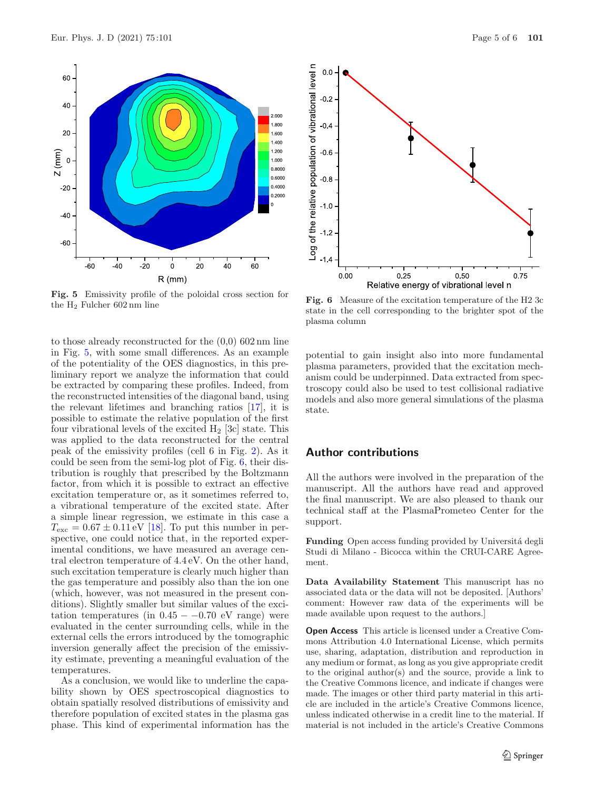

<span id="page-4-0"></span>**Fig. 5** Emissivity profile of the poloidal cross section for the H<sup>2</sup> Fulcher 602 nm line

to those already reconstructed for the (0,0) 602 nm line in Fig. [5,](#page-4-0) with some small differences. As an example of the potentiality of the OES diagnostics, in this preliminary report we analyze the information that could be extracted by comparing these profiles. Indeed, from the reconstructed intensities of the diagonal band, using the relevant lifetimes and branching ratios [\[17\]](#page-5-16), it is possible to estimate the relative population of the first four vibrational levels of the excited  $H_2$  [3c] state. This was applied to the data reconstructed for the central peak of the emissivity profiles (cell 6 in Fig. [2\)](#page-1-1). As it could be seen from the semi-log plot of Fig. [6,](#page-4-1) their distribution is roughly that prescribed by the Boltzmann factor, from which it is possible to extract an effective excitation temperature or, as it sometimes referred to, a vibrational temperature of the excited state. After a simple linear regression, we estimate in this case a  $T_{\text{exc}} = 0.67 \pm 0.11 \,\text{eV}$  [\[18\]](#page-5-17). To put this number in perspective, one could notice that, in the reported experimental conditions, we have measured an average central electron temperature of 4.4 eV. On the other hand, such excitation temperature is clearly much higher than the gas temperature and possibly also than the ion one (which, however, was not measured in the present conditions). Slightly smaller but similar values of the excitation temperatures (in  $0.45 - -0.70$  eV range) were evaluated in the center surrounding cells, while in the external cells the errors introduced by the tomographic inversion generally affect the precision of the emissivity estimate, preventing a meaningful evaluation of the temperatures.

As a conclusion, we would like to underline the capability shown by OES spectroscopical diagnostics to obtain spatially resolved distributions of emissivity and therefore population of excited states in the plasma gas phase. This kind of experimental information has the



<span id="page-4-1"></span>**Fig. 6** Measure of the excitation temperature of the H2 3c state in the cell corresponding to the brighter spot of the plasma column

potential to gain insight also into more fundamental plasma parameters, provided that the excitation mechanism could be underpinned. Data extracted from spectroscopy could also be used to test collisional radiative models and also more general simulations of the plasma state.

#### **Author contributions**

All the authors were involved in the preparation of the manuscript. All the authors have read and approved the final manuscript. We are also pleased to thank our technical staff at the PlasmaPrometeo Center for the support.

**Funding** Open access funding provided by Università degli Studi di Milano - Bicocca within the CRUI-CARE Agreement.

**Data Availability Statement** This manuscript has no associated data or the data will not be deposited. [Authors' comment: However raw data of the experiments will be made available upon request to the authors.]

**Open Access** This article is licensed under a Creative Commons Attribution 4.0 International License, which permits use, sharing, adaptation, distribution and reproduction in any medium or format, as long as you give appropriate credit to the original author(s) and the source, provide a link to the Creative Commons licence, and indicate if changes were made. The images or other third party material in this article are included in the article's Creative Commons licence, unless indicated otherwise in a credit line to the material. If material is not included in the article's Creative Commons